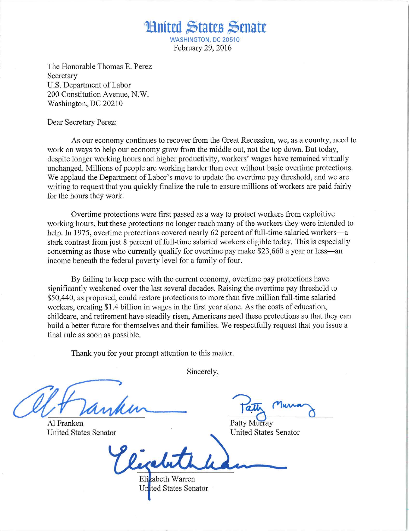WASHINGTON. DC 20510 February 29, 2016

Mnitul States Senate

The Honorable Thomas E. Perez Secretary U.S. Department of Labor 200 Constitution Avenue, N.W. Washington, DC 20210

Dear Secretary Perez:

As our economy continues to recover from the Great Recession, we, as a country, need to work on ways to help our economy grow from the middle out, not the top down. But today, despite longer working hours and higher productivity, workers' wages have remained virtually unchanged. Millions of people are working harder than ever without basic overtime protections. We applaud the Department of Labor's move to update the overtime pay threshold, and we are writing to request that you quickly finalize the rule to ensure millions of workers are paid fairly for the hours they work.

Overtime protections were first passed as a way to protect workers from exploitive working hours, but these protections no longer reach many of the workers they were intended to help. In 1975, overtime protections covered nearly 62 percent of full-time salaried workers—a stark contrast from just 8 percent of full-time salaried workers eligible today. This is especially concerning as those who currently qualify for overtime pay make \$23,660 a year or less—an income beneath the federal poverty level for a family of four.

By failing to keep pace with the current economy, overtime pay protections have significantly weakened over the last several decades. Raising the overtime pay threshold to \$50,440, as proposed, could restore protections to more than five million full-time salaried workers, creating \$1.4 billion in wages in the first year alone. As the costs of education, childcare, and retirement have steadily risen, Americans need these protections so that they can build a better future for themselves and their families. We respectfully request that you issue a final rule as soon as possible.

Thank you for your prompt attention to this matter.

Sincerely,

Al Franken United States Senator

 $T$   $\alpha$   $\overline{u}$ rlMA-<^

Patty Murray United States Senator

zabeth Warren United States Senator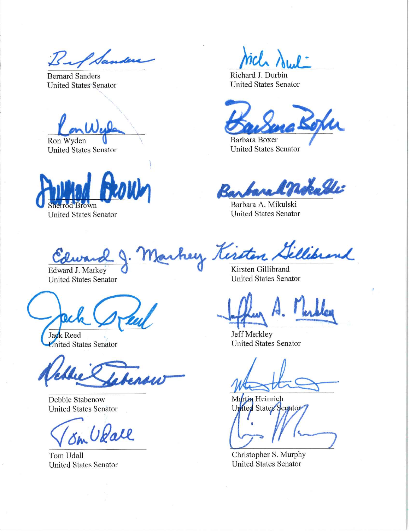Bif Sander

Bernard Sanders United States Senator

Lone

Ron Wyden United States Senator

wn

United States Senator

Mch Awl

Richard J. Durbin United States Senator

Barbara Boxer United States Senator

Barbara & notable

Barbara A. Mikulski United States Senator

United States Senator

Jack Reed Inited States Senator

Debbie Stabenow United States Senator

^/a^ueaM.

Tom Udall United States Senator

hey Kersten Sellebrand

Edward J. Markey **Q** Kirsten Gillibrand<br>
United States Senator United States Senator

4.

Jeff Merkley United States Senator

Martin Heinrich United States Senator 7

Christopher S. Murphy United States Senator